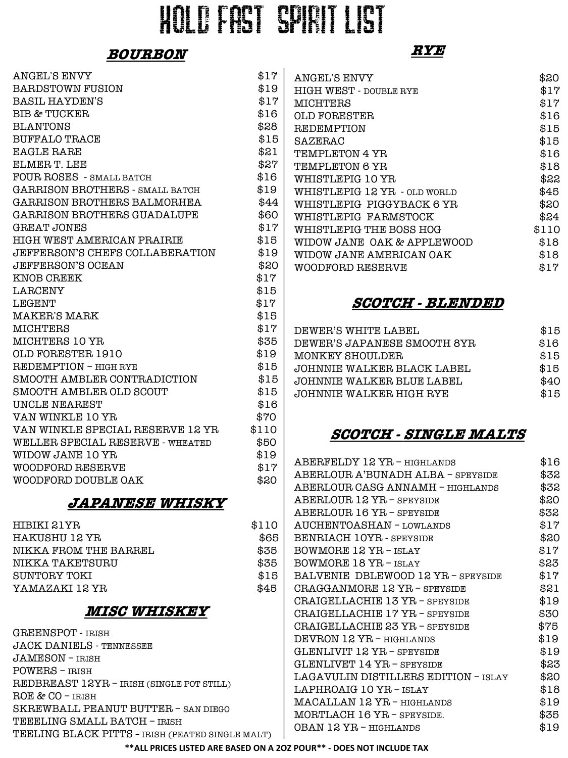# HOLD FAST SPIRIt LIST

#### **BOURBON**

| <b>ANGEL'S ENVY</b>                | \$17  |
|------------------------------------|-------|
| <b>BARDSTOWN FUSION</b>            | \$19  |
| <b>BASIL HAYDEN'S</b>              | \$17  |
| <b>BIB &amp; TUCKER</b>            | \$16  |
| <b>BLANTONS</b>                    | \$28  |
| <b>BUFFALO TRACE</b>               | \$15  |
| <b>EAGLE RARE</b>                  | \$21  |
| ELMER T. LEE                       | \$27  |
| FOUR ROSES - SMALL BATCH           | \$16  |
| GARRISON BROTHERS - SMALL BATCH    | \$19  |
| GARRISON BROTHERS BALMORHEA        | \$44  |
| <b>GARRISON BROTHERS GUADALUPE</b> | \$60  |
| <b>GREAT JONES</b>                 | \$17  |
| HIGH WEST AMERICAN PRAIRIE         | \$15  |
| JEFFERSON'S CHEFS COLLABERATION    | \$19  |
| <b>JEFFERSON'S OCEAN</b>           | \$20  |
| <b>KNOB CREEK</b>                  | \$17  |
| <b>LARCENY</b>                     | \$15  |
| LEGENT                             | \$17  |
| <b>MAKER'S MARK</b>                | \$15  |
| <b>MICHTERS</b>                    | \$17  |
| MICHTERS 10 YR                     | \$35  |
| OLD FORESTER 1910                  | \$19  |
| REDEMPTION - HIGH RYE              | \$15  |
| SMOOTH AMBLER CONTRADICTION        | \$15  |
| SMOOTH AMBLER OLD SCOUT            | \$15  |
| UNCLE NEAREST                      | \$16  |
| <b>VAN WINKLE 10 YR</b>            | \$70  |
| VAN WINKLE SPECIAL RESERVE 12 YR   | \$110 |
| WELLER SPECIAL RESERVE - WHEATED   | \$50  |
| WIDOW JANE 10 YR                   | \$19  |
| <b>WOODFORD RESERVE</b>            | \$17  |
| WOODFORD DOUBLE OAK                | \$20  |
|                                    |       |

#### **JAPANESE WHISKY**

| HIBIKI 21YR           | \$110 |
|-----------------------|-------|
| HAKUSHU 12 YR         | \$65  |
| NIKKA FROM THE BARREL | \$35  |
| NIKKA TAKETSURU       | \$35  |
| SUNTORY TOKI          | \$15  |
| YAMAZAKI 12 YR        | \$45  |
|                       |       |

#### **MISC WHISKEY**

GREENSPOT - IRISH JACK DANIELS - TENNESSEE JAMESON – IRISH POWERS – IRISH REDBREAST 12YR – IRISH (SINGLE POT STILL) ROE & CO – IRISH SKREWBALL PEANUT BUTTER – SAN DIEGO TEEELING SMALL BATCH – IRISH TEELING BLACK PITTS – IRISH (PEATED SINGLE MALT)

#### **RYE**

| <b>ANGEL'S ENVY</b>           | \$20  |
|-------------------------------|-------|
| <b>HIGH WEST - DOUBLE RYE</b> | \$17  |
| MICHTERS                      | \$17  |
| OLD FORESTER                  | \$16  |
| <b>REDEMPTION</b>             | \$15  |
| SAZERAC                       | \$15  |
| TEMPLETON 4 YR                | \$16  |
| TEMPLETON 6 YR                | \$18  |
| WHISTLEPIG 10 YR              | \$22  |
| WHISTLEPIG 12 YR - OLD WORLD  | \$45  |
| WHISTLEPIG PIGGYBACK 6 YR     | \$20  |
| WHISTLEPIG FARMSTOCK          | \$24  |
| WHISTLEPIG THE BOSS HOG       | \$110 |
| WIDOW JANE OAK & APPLEWOOD    | \$18  |
| WIDOW JANE AMERICAN OAK       | \$18  |
| WOODFORD RESERVE              | \$17  |

#### **SCOTCH - BLENDED**

| DEWER'S WHITE LABEL         | \$15 |
|-----------------------------|------|
| DEWER'S JAPANESE SMOOTH 8YR | \$16 |
| MONKEY SHOULDER             | \$15 |
| JOHNNIE WALKER BLACK LABEL  | \$15 |
| JOHNNIE WALKER BLUE LABEL   | \$40 |
| JOHNNIE WALKER HIGH RYE     | \$15 |

#### **SCOTCH - SINGLE MALTS**

| ABERFELDY 12 YR - HIGHLANDS          | \$16 |
|--------------------------------------|------|
| ABERLOUR A'BUNADH ALBA - SPEYSIDE    | \$32 |
| ABERLOUR CASG ANNAMH - HIGHLANDS     | \$32 |
| ABERLOUR 12 YR - SPEYSIDE            | \$20 |
| ABERLOUR 16 YR - SPEYSIDE            | \$32 |
| AUCHENTOASHAN - LOWLANDS             | \$17 |
| BENRIACH 10YR - SPEYSIDE             | \$20 |
| <b>BOWMORE 12 YR - ISLAY</b>         | \$17 |
| BOWMORE 18 YR - ISLAY                | \$23 |
| BALVENIE DBLEWOOD 12 YR - SPEYSIDE   | \$17 |
| CRAGGANMORE 12 YR - SPEYSIDE         | \$21 |
| CRAIGELLACHIE 13 YR - SPEYSIDE       | \$19 |
| CRAIGELLACHIE 17 YR - SPEYSIDE       | \$30 |
| CRAIGELLACHIE 23 YR - SPEYSIDE       | \$75 |
| DEVRON 12 YR - HIGHLANDS             | \$19 |
| GLENLIVIT 12 YR - SPEYSIDE           | \$19 |
| GLENLIVET 14 YR - SPEYSIDE           | \$23 |
| LAGAVULIN DISTILLERS EDITION - ISLAY | \$20 |
| LAPHROAIG 10 YR - ISLAY              | \$18 |
| MACALLAN 12 YR - HIGHLANDS           | \$19 |
| MORTLACH 16 YR - SPEYSIDE.           | \$35 |
| OBAN 12 YR - HIGHLANDS               | \$19 |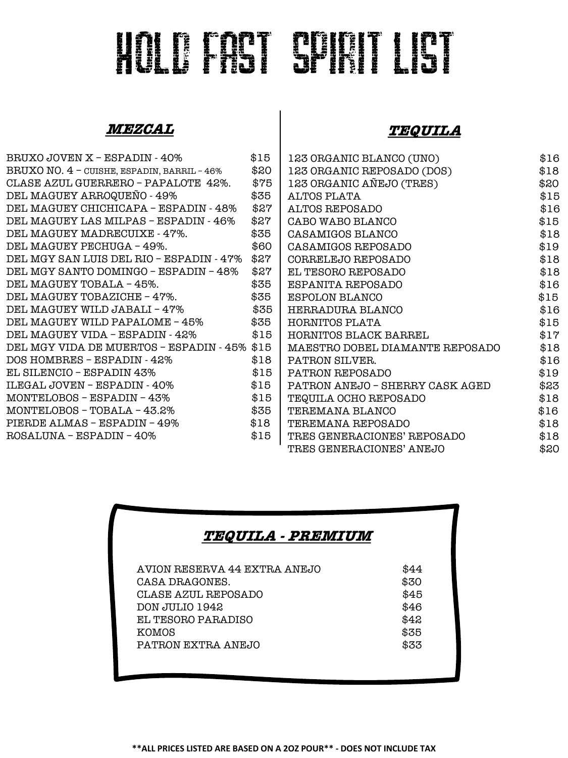# HOLD FAST SPIRIT LIST

#### **MEZCAL**

#### **TEQUILA**

| BRUXO JOVEN X - ESPADIN - 40% \$15               |      | 123 ORGANIC BLANCO (UNO)        | \$16 |
|--------------------------------------------------|------|---------------------------------|------|
| BRUXO NO. 4 - CUISHE, ESPADIN, BARRIL - 46% \$20 |      | 123 ORGANIC REPOSADO (DOS)      | \$18 |
| CLASE AZUL GUERRERO - PAPALOTE 42%.              | \$75 | 123 ORGANIC AÑEJO (TRES)        | \$20 |
| DEL MAGUEY ARROQUEÑO - 49%                       | \$35 | ALTOS PLATA                     | \$15 |
| DEL MAGUEY CHICHICAPA - ESPADIN - 48%            | \$27 | ALTOS REPOSADO                  | \$16 |
| DEL MAGUEY LAS MILPAS - ESPADIN - 46%            | \$27 | CABO WABO BLANCO                | \$15 |
| DEL MAGUEY MADRECUIXE - 47%.                     | \$35 | CASAMIGOS BLANCO                | \$18 |
| DEL MAGUEY PECHUGA - 49%.                        | \$60 | CASAMIGOS REPOSADO              | \$19 |
| DEL MGY SAN LUIS DEL RIO - ESPADIN - 47% \$27    |      | CORRELEJO REPOSADO              | \$18 |
| DEL MGY SANTO DOMINGO – ESPADIN – 48%            | \$27 | EL TESORO REPOSADO              | \$18 |
| DEL MAGUEY TOBALA - 45%.                         | \$35 | ESPANITA REPOSADO               | \$16 |
| DEL MAGUEY TOBAZICHE - 47%.                      | \$35 | ESPOLON BLANCO                  | \$15 |
| DEL MAGUEY WILD JABALI - 47%                     | \$35 | HERRADURA BLANCO                | \$16 |
| DEL MAGUEY WILD PAPALOME - 45%                   | \$35 | HORNITOS PLATA                  | \$15 |
| DEL MAGUEY VIDA - ESPADIN - 42%                  | \$15 | HORNITOS BLACK BARREL           | \$17 |
| DEL MGY VIDA DE MUERTOS - ESPADIN - 45% \$15     |      | MAESTRO DOBEL DIAMANTE REPOSADO | \$18 |
| DOS HOMBRES - ESPADIN - 42%                      | \$18 | PATRON SILVER.                  | \$16 |
| EL SILENCIO – ESPADIN 43%                        | \$15 | PATRON REPOSADO                 | \$19 |
| ILEGAL JOVEN – ESPADIN - 40%                     | \$15 | PATRON ANEJO - SHERRY CASK AGED | \$23 |
| MONTELOBOS - ESPADIN - 43%                       | \$15 | TEQUILA OCHO REPOSADO           | \$18 |
| MONTELOBOS - TOBALA - 43.2%                      | \$35 | TEREMANA BLANCO                 | \$16 |
| PIERDE ALMAS – ESPADIN – 49%                     | \$18 | TEREMANA REPOSADO               | \$18 |
| ROSALUNA - ESPADIN - 40%                         | \$15 | TRES GENERACIONES' REPOSADO     | \$18 |
|                                                  |      | TRES GENERACIONES' ANEJO        | \$20 |

#### **TEQUILA - PREMIUM**

| <b>KOMOS</b> | AVION RESERVA 44 EXTRA ANEJO<br>CASA DRAGONES.<br>CLASE AZUL REPOSADO<br>DON JULIO 1942<br>EL TESORO PARADISO<br>PATRON EXTRA ANEJO | \$44<br>\$30<br>\$45<br>\$46<br>\$42<br>\$35<br>\$33 |
|--------------|-------------------------------------------------------------------------------------------------------------------------------------|------------------------------------------------------|
|              |                                                                                                                                     |                                                      |